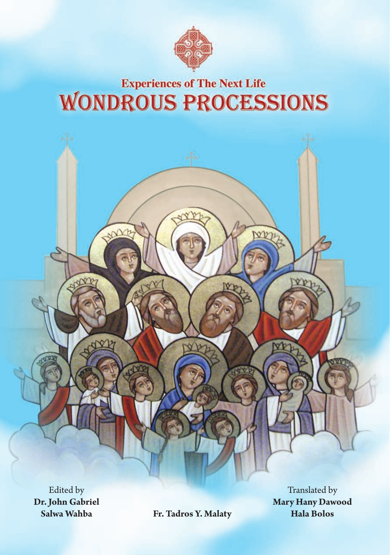

## **Experiences of The Next Life WONDROUS PROCESSIONS**

Edited by **Dr. John Gabriel Salwa Wahba**

**Fr. Tadros Y. Malaty**

Translated by **Mary Hany Dawood Hala Bolos**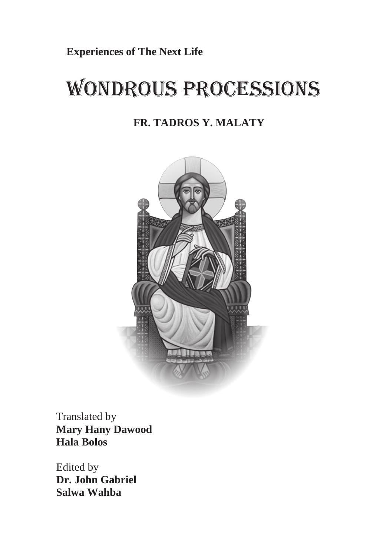**Experiences of The Next Life** 

# WONDROUS PROCESSIONS

### **FR. TADROS Y. MALATY**



Edited by Translated by **Salwa Wahba Mary Hany Dawood Hala Bolos** 

Edited by **Dr. John Gabriel Salwa Wahba**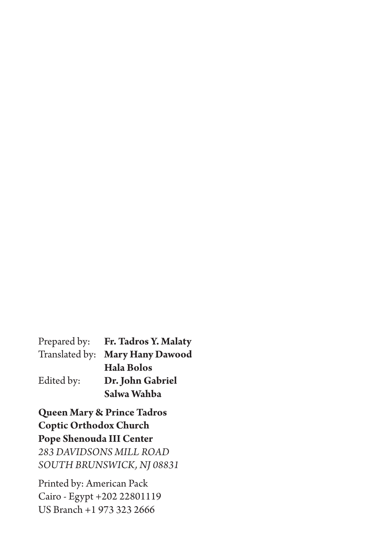|            | Prepared by: Fr. Tadros Y. Malaty |
|------------|-----------------------------------|
|            | Translated by: Mary Hany Dawood   |
|            | <b>Hala Bolos</b>                 |
| Edited by: | Dr. John Gabriel                  |
|            | Salwa Wahba                       |

**Queen Mary & Prince Tadros Coptic Orthodox Church Pope Shenouda III Center** *283 DAVIDSONS MILL ROAD SOUTH BRUNSWICK, NJ 08831*

Printed by: American Pack Cairo - Egypt +202 22801119 US Branch +1 973 323 2666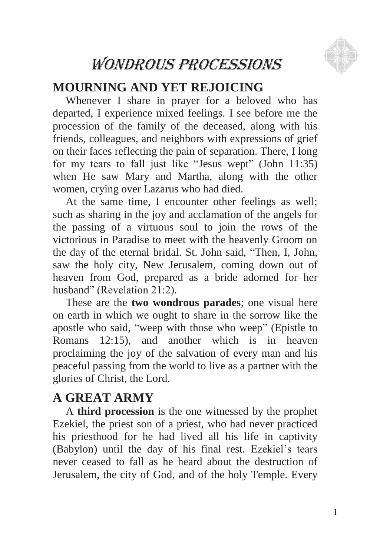

## WONDROUS PROCESSIONS

## **MOURNING AND YET REJOICING**

Whenever I share in prayer for a beloved who has departed, I experience mixed feelings. I see before me the procession of the family of the deceased, along with his friends, colleagues, and neighbors with expressions of grief on their faces reflecting the pain of separation. There, I long for my tears to fall just like "Jesus wept" (John 11:35) when He saw Mary and Martha, along with the other women, crying over Lazarus who had died.

At the same time, I encounter other feelings as well; such as sharing in the joy and acclamation of the angels for the passing of a virtuous soul to join the rows of the victorious in Paradise to meet with the heavenly Groom on the day of the eternal bridal. St. John said, "Then, I, John, saw the holy city, New Jerusalem, coming down out of heaven from God, prepared as a bride adorned for her husband" (Revelation 21:2).

These are the **two wondrous parades**; one visual here on earth in which we ought to share in the sorrow like the apostle who said, "weep with those who weep" (Epistle to Romans 12:15), and another which is in heaven proclaiming the joy of the salvation of every man and his peaceful passing from the world to live as a partner with the glories of Christ, the Lord.

### **A GREAT ARMY**

A **third procession** is the one witnessed by the prophet Ezekiel, the priest son of a priest, who had never practiced his priesthood for he had lived all his life in captivity (Babylon) until the day of his final rest. Ezekiel"s tears never ceased to fall as he heard about the destruction of Jerusalem, the city of God, and of the holy Temple. Every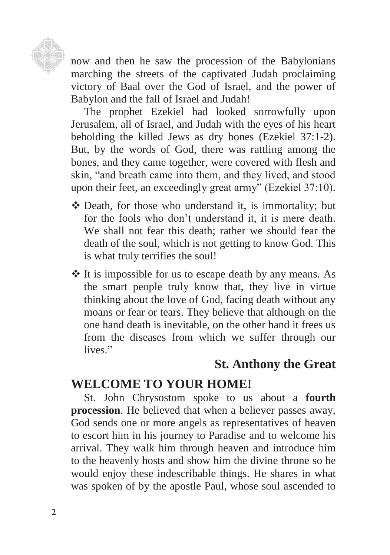

now and then he saw the procession of the Babylonians marching the streets of the captivated Judah proclaiming victory of Baal over the God of Israel, and the power of Babylon and the fall of Israel and Judah!

The prophet Ezekiel had looked sorrowfully upon Jerusalem, all of Israel, and Judah with the eyes of his heart beholding the killed Jews as dry bones (Ezekiel 37:1-2). But, by the words of God, there was rattling among the bones, and they came together, were covered with flesh and skin, "and breath came into them, and they lived, and stood upon their feet, an exceedingly great army" (Ezekiel 37:10).

- Death, for those who understand it, is immortality; but for the fools who don"t understand it, it is mere death. We shall not fear this death; rather we should fear the death of the soul, which is not getting to know God. This is what truly terrifies the soul!
- $\triangle$  It is impossible for us to escape death by any means. As the smart people truly know that, they live in virtue thinking about the love of God, facing death without any moans or fear or tears. They believe that although on the one hand death is inevitable, on the other hand it frees us from the diseases from which we suffer through our lives."

## **St. Anthony the Great**

## **WELCOME TO YOUR HOME!**

St. John Chrysostom spoke to us about a **fourth procession**. He believed that when a believer passes away, God sends one or more angels as representatives of heaven to escort him in his journey to Paradise and to welcome his arrival. They walk him through heaven and introduce him to the heavenly hosts and show him the divine throne so he would enjoy these indescribable things. He shares in what was spoken of by the apostle Paul, whose soul ascended to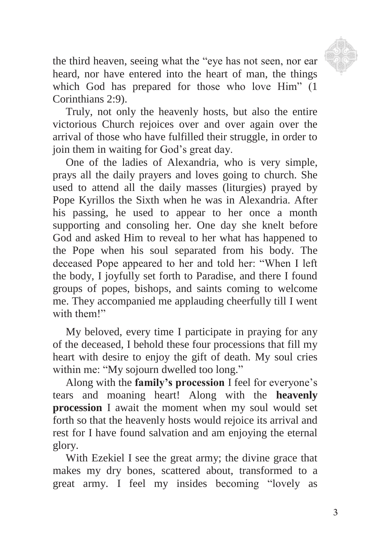

the third heaven, seeing what the "eye has not seen, nor ear heard, nor have entered into the heart of man, the things which God has prepared for those who love Him" (1 Corinthians 2:9).

Truly, not only the heavenly hosts, but also the entire victorious Church rejoices over and over again over the arrival of those who have fulfilled their struggle, in order to join them in waiting for God"s great day.

One of the ladies of Alexandria, who is very simple, prays all the daily prayers and loves going to church. She used to attend all the daily masses (liturgies) prayed by Pope Kyrillos the Sixth when he was in Alexandria. After his passing, he used to appear to her once a month supporting and consoling her. One day she knelt before God and asked Him to reveal to her what has happened to the Pope when his soul separated from his body. The deceased Pope appeared to her and told her: "When I left the body, I joyfully set forth to Paradise, and there I found groups of popes, bishops, and saints coming to welcome me. They accompanied me applauding cheerfully till I went with them!"

My beloved, every time I participate in praying for any of the deceased, I behold these four processions that fill my heart with desire to enjoy the gift of death. My soul cries within me: "My sojourn dwelled too long."

Along with the **family's procession** I feel for everyone"s tears and moaning heart! Along with the **heavenly procession** I await the moment when my soul would set forth so that the heavenly hosts would rejoice its arrival and rest for I have found salvation and am enjoying the eternal glory.

With Ezekiel I see the great army; the divine grace that makes my dry bones, scattered about, transformed to a great army. I feel my insides becoming "lovely as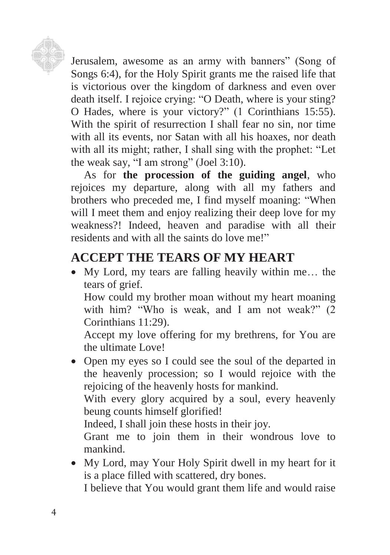

Jerusalem, awesome as an army with banners" (Song of Songs 6:4), for the Holy Spirit grants me the raised life that is victorious over the kingdom of darkness and even over death itself. I rejoice crying: "O Death, where is your sting? O Hades, where is your victory?" (1 Corinthians 15:55). With the spirit of resurrection I shall fear no sin, nor time with all its events, nor Satan with all his hoaxes, nor death with all its might; rather, I shall sing with the prophet: "Let the weak say, "I am strong" (Joel 3:10).

As for **the procession of the guiding angel**, who rejoices my departure, along with all my fathers and brothers who preceded me, I find myself moaning: "When will I meet them and enjoy realizing their deep love for my weakness?! Indeed, heaven and paradise with all their residents and with all the saints do love me!"

## **ACCEPT THE TEARS OF MY HEART**

 My Lord, my tears are falling heavily within me… the tears of grief.

How could my brother moan without my heart moaning with him? "Who is weak, and I am not weak?" (2 Corinthians 11:29).

Accept my love offering for my brethrens, for You are the ultimate Love!

• Open my eyes so I could see the soul of the departed in the heavenly procession; so I would rejoice with the rejoicing of the heavenly hosts for mankind.

With every glory acquired by a soul, every heavenly beung counts himself glorified!

Indeed, I shall join these hosts in their joy.

Grant me to join them in their wondrous love to mankind.

 My Lord, may Your Holy Spirit dwell in my heart for it is a place filled with scattered, dry bones.

I believe that You would grant them life and would raise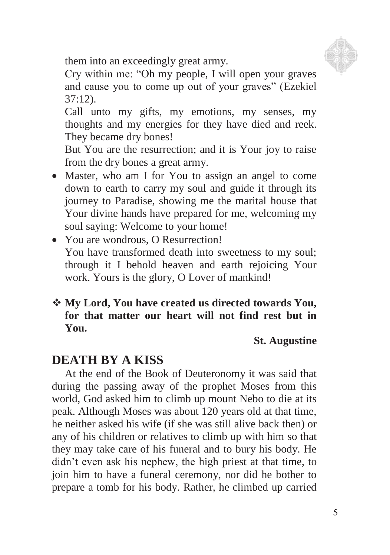

them into an exceedingly great army.

Cry within me: "Oh my people, I will open your graves and cause you to come up out of your graves" (Ezekiel 37:12).

Call unto my gifts, my emotions, my senses, my thoughts and my energies for they have died and reek. They became dry bones!

But You are the resurrection; and it is Your joy to raise from the dry bones a great army.

- Master, who am I for You to assign an angel to come down to earth to carry my soul and guide it through its journey to Paradise, showing me the marital house that Your divine hands have prepared for me, welcoming my soul saying: Welcome to your home!
- You are wondrous, O Resurrection! You have transformed death into sweetness to my soul; through it I behold heaven and earth rejoicing Your work. Yours is the glory, O Lover of mankind!
- **My Lord, You have created us directed towards You, for that matter our heart will not find rest but in You.**

#### **St. Augustine**

#### **DEATH BY A KISS**

At the end of the Book of Deuteronomy it was said that during the passing away of the prophet Moses from this world, God asked him to climb up mount Nebo to die at its peak. Although Moses was about 120 years old at that time, he neither asked his wife (if she was still alive back then) or any of his children or relatives to climb up with him so that they may take care of his funeral and to bury his body. He didn"t even ask his nephew, the high priest at that time, to join him to have a funeral ceremony, nor did he bother to prepare a tomb for his body. Rather, he climbed up carried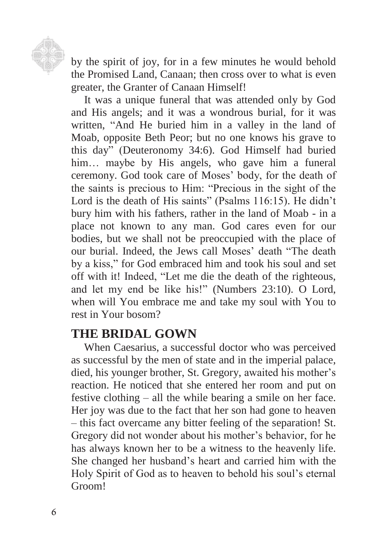

by the spirit of joy, for in a few minutes he would behold the Promised Land, Canaan; then cross over to what is even greater, the Granter of Canaan Himself!

It was a unique funeral that was attended only by God and His angels; and it was a wondrous burial, for it was written, "And He buried him in a valley in the land of Moab, opposite Beth Peor; but no one knows his grave to this day" (Deuteronomy 34:6). God Himself had buried him... maybe by His angels, who gave him a funeral ceremony. God took care of Moses" body, for the death of the saints is precious to Him: "Precious in the sight of the Lord is the death of His saints" (Psalms 116:15). He didn't bury him with his fathers, rather in the land of Moab - in a place not known to any man. God cares even for our bodies, but we shall not be preoccupied with the place of our burial. Indeed, the Jews call Moses' death "The death by a kiss," for God embraced him and took his soul and set off with it! Indeed, "Let me die the death of the righteous, and let my end be like his!" (Numbers 23:10). O Lord, when will You embrace me and take my soul with You to rest in Your bosom?

#### **THE BRIDAL GOWN**

When Caesarius, a successful doctor who was perceived as successful by the men of state and in the imperial palace, died, his younger brother, St. Gregory, awaited his mother's reaction. He noticed that she entered her room and put on festive clothing – all the while bearing a smile on her face. Her joy was due to the fact that her son had gone to heaven – this fact overcame any bitter feeling of the separation! St. Gregory did not wonder about his mother"s behavior, for he has always known her to be a witness to the heavenly life. She changed her husband"s heart and carried him with the Holy Spirit of God as to heaven to behold his soul"s eternal Groom!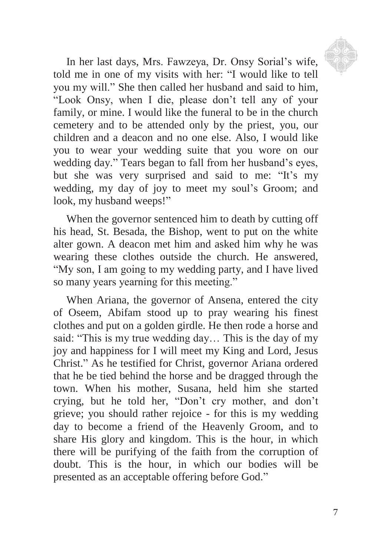

In her last days, Mrs. Fawzeya, Dr. Onsy Sorial"s wife, told me in one of my visits with her: "I would like to tell you my will." She then called her husband and said to him, "Look Onsy, when I die, please don"t tell any of your family, or mine. I would like the funeral to be in the church cemetery and to be attended only by the priest, you, our children and a deacon and no one else. Also, I would like you to wear your wedding suite that you wore on our wedding day." Tears began to fall from her husband"s eyes, but she was very surprised and said to me: "It's my wedding, my day of joy to meet my soul"s Groom; and look, my husband weeps!"

When the governor sentenced him to death by cutting off his head, St. Besada, the Bishop, went to put on the white alter gown. A deacon met him and asked him why he was wearing these clothes outside the church. He answered, "My son, I am going to my wedding party, and I have lived so many years yearning for this meeting."

When Ariana, the governor of Ansena, entered the city of Oseem, Abifam stood up to pray wearing his finest clothes and put on a golden girdle. He then rode a horse and said: "This is my true wedding day… This is the day of my joy and happiness for I will meet my King and Lord, Jesus Christ." As he testified for Christ, governor Ariana ordered that he be tied behind the horse and be dragged through the town. When his mother, Susana, held him she started crying, but he told her, "Don"t cry mother, and don"t grieve; you should rather rejoice - for this is my wedding day to become a friend of the Heavenly Groom, and to share His glory and kingdom. This is the hour, in which there will be purifying of the faith from the corruption of doubt. This is the hour, in which our bodies will be presented as an acceptable offering before God."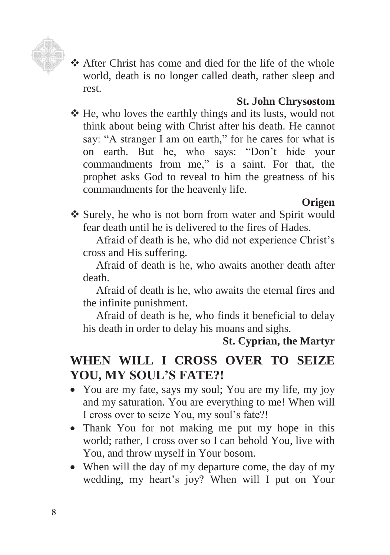

 After Christ has come and died for the life of the whole world, death is no longer called death, rather sleep and rest.

#### **St. John Chrysostom**

 He, who loves the earthly things and its lusts, would not think about being with Christ after his death. He cannot say: "A stranger I am on earth," for he cares for what is on earth. But he, who says: "Don"t hide your commandments from me," is a saint. For that, the prophet asks God to reveal to him the greatness of his commandments for the heavenly life.

#### **Origen**

 Surely, he who is not born from water and Spirit would fear death until he is delivered to the fires of Hades.

Afraid of death is he, who did not experience Christ"s cross and His suffering.

Afraid of death is he, who awaits another death after death.

Afraid of death is he, who awaits the eternal fires and the infinite punishment.

Afraid of death is he, who finds it beneficial to delay his death in order to delay his moans and sighs.

#### **St. Cyprian, the Martyr**

## **WHEN WILL I CROSS OVER TO SEIZE YOU, MY SOUL'S FATE?!**

- You are my fate, says my soul; You are my life, my joy and my saturation. You are everything to me! When will I cross over to seize You, my soul"s fate?!
- Thank You for not making me put my hope in this world; rather, I cross over so I can behold You, live with You, and throw myself in Your bosom.
- When will the day of my departure come, the day of my wedding, my heart's joy? When will I put on Your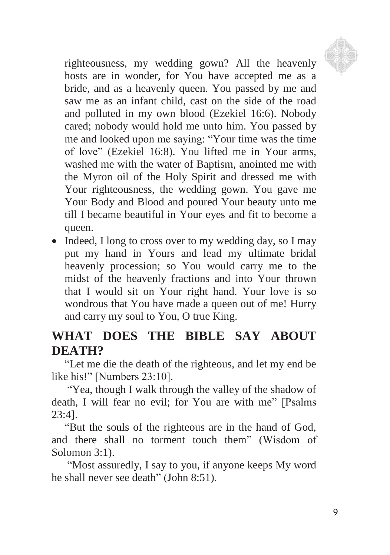

righteousness, my wedding gown? All the heavenly hosts are in wonder, for You have accepted me as a bride, and as a heavenly queen. You passed by me and saw me as an infant child, cast on the side of the road and polluted in my own blood (Ezekiel 16:6). Nobody cared; nobody would hold me unto him. You passed by me and looked upon me saying: "Your time was the time of love" (Ezekiel 16:8). You lifted me in Your arms, washed me with the water of Baptism, anointed me with the Myron oil of the Holy Spirit and dressed me with Your righteousness, the wedding gown. You gave me Your Body and Blood and poured Your beauty unto me till I became beautiful in Your eyes and fit to become a queen.

• Indeed, I long to cross over to my wedding day, so I may put my hand in Yours and lead my ultimate bridal heavenly procession; so You would carry me to the midst of the heavenly fractions and into Your thrown that I would sit on Your right hand. Your love is so wondrous that You have made a queen out of me! Hurry and carry my soul to You, O true King.

## **WHAT DOES THE BIBLE SAY ABOUT DEATH?**

"Let me die the death of the righteous, and let my end be like his!" [Numbers 23:10].

"Yea, though I walk through the valley of the shadow of death, I will fear no evil; for You are with me" [Psalms 23:4].

"But the souls of the righteous are in the hand of God, and there shall no torment touch them" (Wisdom of Solomon 3:1).

"Most assuredly, I say to you, if anyone keeps My word he shall never see death" (John 8:51).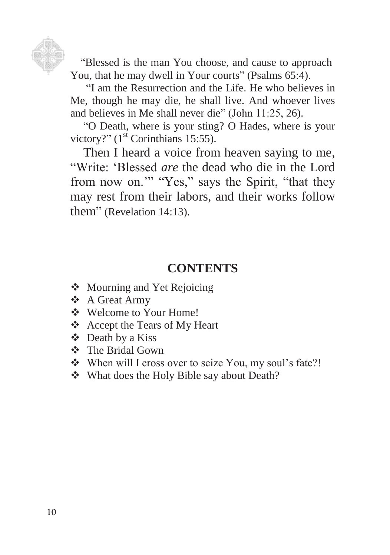

You, that he may dwell in Your courts" (Psalms 65:4). "Blessed is the man You choose, and cause to approach

"I am the Resurrection and the Life. He who believes in Me, though he may die, he shall live. And whoever lives and believes in Me shall never die" (John 11:25, 26).

"O Death, where is your sting? O Hades, where is your victory?" (1<sup>st</sup> Corinthians 15:55).

Then I heard a voice from heaven saying to me, "Write: "Blessed *are* the dead who die in the Lord from now on."" "Yes," says the Spirit, "that they may rest from their labors, and their works follow them" (Revelation 14:13).

#### **CONTENTS**

- ❖ Mourning and Yet Rejoicing
- A Great Army
- ❖ Welcome to Your Home!
- Accept the Tears of My Heart
- Death by a Kiss
- The Bridal Gown
- \* When will I cross over to seize You, my soul's fate?!
- What does the Holy Bible say about Death?